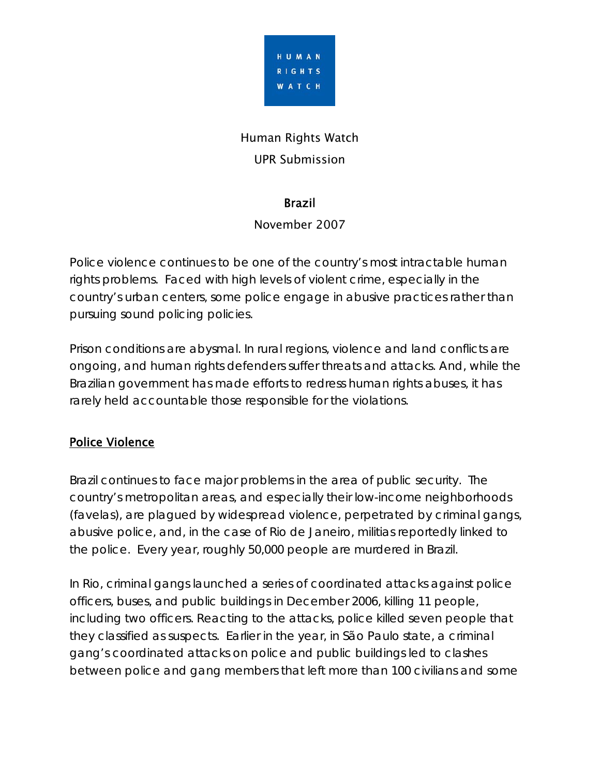

# Human Rights Watch UPR Submission

#### Brazil

#### November 2007

Police violence continues to be one of the country's most intractable human rights problems. Faced with high levels of violent crime, especially in the country's urban centers, some police engage in abusive practices rather than pursuing sound policing policies.

Prison conditions are abysmal. In rural regions, violence and land conflicts are ongoing, and human rights defenders suffer threats and attacks. And, while the Brazilian government has made efforts to redress human rights abuses, it has rarely held accountable those responsible for the violations.

### Police Violence

Brazil continues to face major problems in the area of public security. The country's metropolitan areas, and especially their low-income neighborhoods (*favelas*), are plagued by widespread violence, perpetrated by criminal gangs, abusive police, and, in the case of Rio de Janeiro, militias reportedly linked to the police. Every year, roughly 50,000 people are murdered in Brazil.

In Rio, criminal gangs launched a series of coordinated attacks against police officers, buses, and public buildings in December 2006, killing 11 people, including two officers. Reacting to the attacks, police killed seven people that they classified as suspects. Earlier in the year, in São Paulo state, a criminal gang's coordinated attacks on police and public buildings led to clashes between police and gang members that left more than 100 civilians and some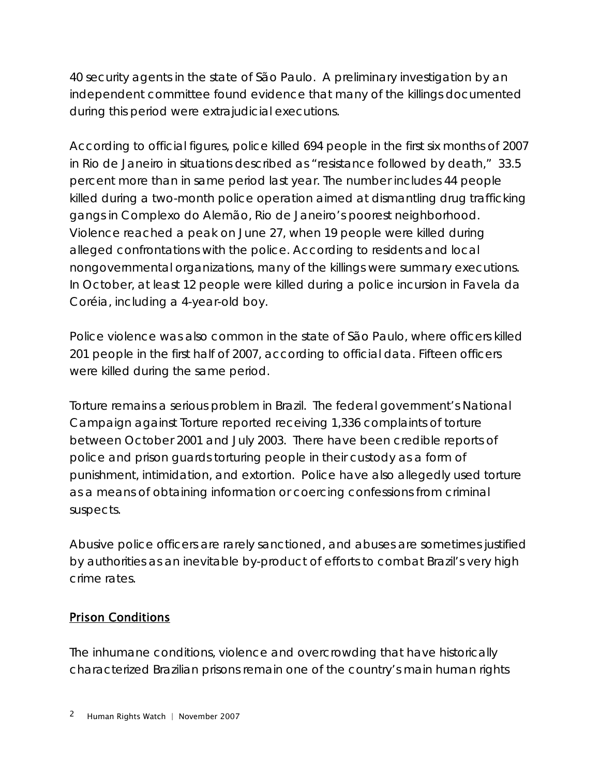40 security agents in the state of São Paulo. A preliminary investigation by an independent committee found evidence that many of the killings documented during this period were extrajudicial executions.

According to official figures, police killed 694 people in the first six months of 2007 in Rio de Janeiro in situations described as "resistance followed by death," 33.5 percent more than in same period last year. The number includes 44 people killed during a two-month police operation aimed at dismantling drug trafficking gangs in Complexo do Alemão, Rio de Janeiro's poorest neighborhood. Violence reached a peak on June 27, when 19 people were killed during alleged confrontations with the police. According to residents and local nongovernmental organizations, many of the killings were summary executions. In October, at least 12 people were killed during a police incursion in Favela da Coréia, including a 4-year-old boy.

Police violence was also common in the state of São Paulo, where officers killed 201 people in the first half of 2007, according to official data. Fifteen officers were killed during the same period.

Torture remains a serious problem in Brazil. The federal government's National Campaign against Torture reported receiving 1,336 complaints of torture between October 2001 and July 2003. There have been credible reports of police and prison guards torturing people in their custody as a form of punishment, intimidation, and extortion. Police have also allegedly used torture as a means of obtaining information or coercing confessions from criminal suspects.

Abusive police officers are rarely sanctioned, and abuses are sometimes justified by authorities as an inevitable by-product of efforts to combat Brazil's very high crime rates.

### Prison Conditions

The inhumane conditions, violence and overcrowding that have historically characterized Brazilian prisons remain one of the country's main human rights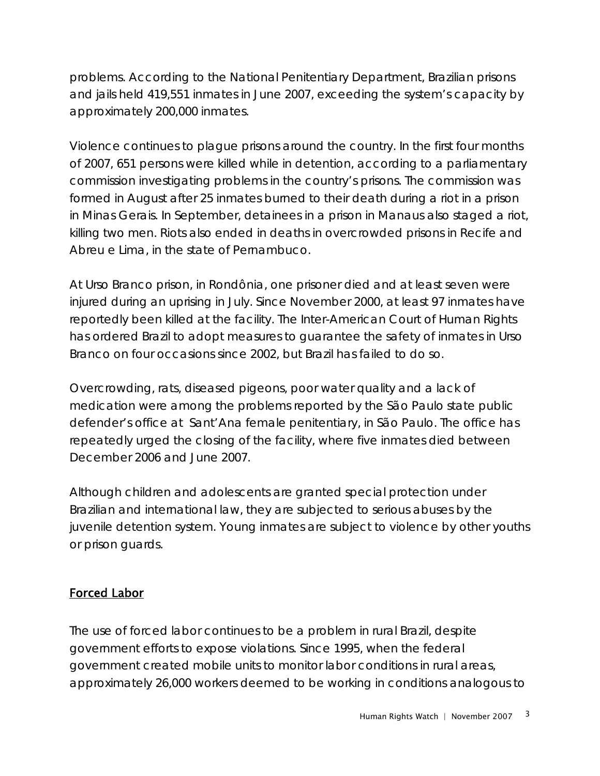problems. According to the National Penitentiary Department, Brazilian prisons and jails held 419,551 inmates in June 2007, exceeding the system's capacity by approximately 200,000 inmates.

Violence continues to plague prisons around the country. In the first four months of 2007, 651 persons were killed while in detention, according to a parliamentary commission investigating problems in the country's prisons. The commission was formed in August after 25 inmates burned to their death during a riot in a prison in Minas Gerais. In September, detainees in a prison in Manaus also staged a riot, killing two men. Riots also ended in deaths in overcrowded prisons in Recife and Abreu e Lima, in the state of Pernambuco.

At Urso Branco prison, in Rondônia, one prisoner died and at least seven were injured during an uprising in July. Since November 2000, at least 97 inmates have reportedly been killed at the facility. The Inter-American Court of Human Rights has ordered Brazil to adopt measures to guarantee the safety of inmates in Urso Branco on four occasions since 2002, but Brazil has failed to do so.

Overcrowding, rats, diseased pigeons, poor water quality and a lack of medication were among the problems reported by the São Paulo state public defender's office at Sant'Ana female penitentiary, in São Paulo. The office has repeatedly urged the closing of the facility, where five inmates died between December 2006 and June 2007.

Although children and adolescents are granted special protection under Brazilian and international law, they are subjected to serious abuses by the juvenile detention system. Young inmates are subject to violence by other youths or prison guards.

### Forced Labor

The use of forced labor continues to be a problem in rural Brazil, despite government efforts to expose violations. Since 1995, when the federal government created mobile units to monitor labor conditions in rural areas, approximately 26,000 workers deemed to be working in conditions analogous to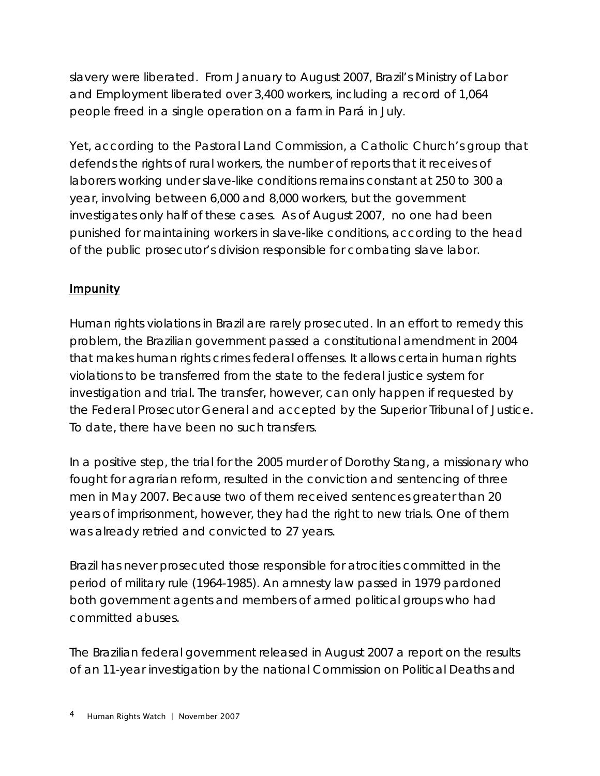slavery were liberated. From January to August 2007, Brazil's Ministry of Labor and Employment liberated over 3,400 workers, including a record of 1,064 people freed in a single operation on a farm in Pará in July.

Yet, according to the Pastoral Land Commission, a Catholic Church's group that defends the rights of rural workers, the number of reports that it receives of laborers working under slave-like conditions remains constant at 250 to 300 a year, involving between 6,000 and 8,000 workers, but the government investigates only half of these cases. As of August 2007, no one had been punished for maintaining workers in slave-like conditions, according to the head of the public prosecutor's division responsible for combating slave labor.

## **Impunity**

Human rights violations in Brazil are rarely prosecuted. In an effort to remedy this problem, the Brazilian government passed a constitutional amendment in 2004 that makes human rights crimes federal offenses. It allows certain human rights violations to be transferred from the state to the federal justice system for investigation and trial. The transfer, however, can only happen if requested by the Federal Prosecutor General and accepted by the Superior Tribunal of Justice. To date, there have been no such transfers.

In a positive step, the trial for the 2005 murder of Dorothy Stang, a missionary who fought for agrarian reform, resulted in the conviction and sentencing of three men in May 2007. Because two of them received sentences greater than 20 years of imprisonment, however, they had the right to new trials. One of them was already retried and convicted to 27 years.

Brazil has never prosecuted those responsible for atrocities committed in the period of military rule (1964-1985). An amnesty law passed in 1979 pardoned both government agents and members of armed political groups who had committed abuses.

The Brazilian federal government released in August 2007 a report on the results of an 11-year investigation by the national Commission on Political Deaths and